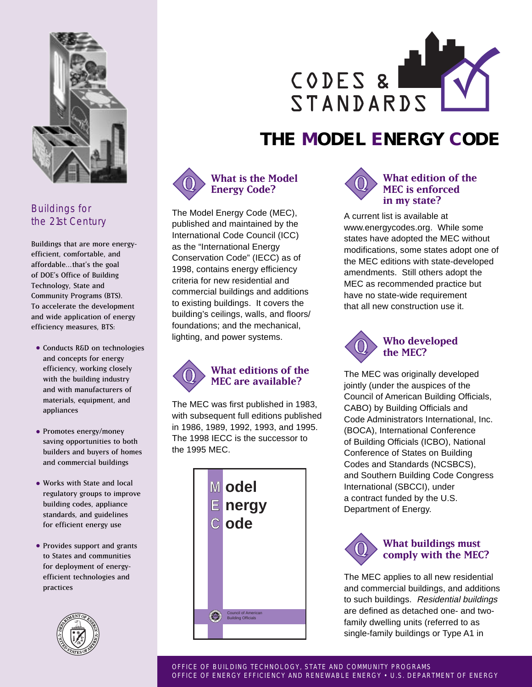

## Buildings for the 21st Century

Buildings that are more energyefficient, comfortable, and affordable…that's the goal of DOE's Office of Building Technology, State and Community Programs (BTS). To accelerate the development and wide application of energy efficiency measures, BTS:

- Conducts R&D on technologies and concepts for energy efficiency, working closely with the building industry and with manufacturers of materials, equipment, and appliances
- Promotes energy/money saving opportunities to both builders and buyers of homes and commercial buildings
- Works with State and local regulatory groups to improve building codes, appliance standards, and guidelines for efficient energy use
- Provides support and grants to States and communities for deployment of energyefficient technologies and practices





# **THE MODEL ENERGY CODE**



The Model Energy Code (MEC), published and maintained by the International Code Council (ICC) as the "International Energy Conservation Code" (IECC) as of 1998, contains energy efficiency criteria for new residential and commercial buildings and additions to existing buildings. It covers the building's ceilings, walls, and floors/ foundations; and the mechanical, lighting, and power systems.



The MEC was first published in 1983, with subsequent full editions published in 1986, 1989, 1992, 1993, and 1995. The 1998 IECC is the successor to the 1995 MEC.





#### **What edition of the MEC is enforced in my state?**

A current list is available at www.energycodes.org. While some states have adopted the MEC without modifications, some states adopt one of the MEC editions with state-developed amendments. Still others adopt the MEC as recommended practice but have no state-wide requirement that all new construction use it.



The MEC was originally developed jointly (under the auspices of the Council of American Building Officials, CABO) by Building Officials and Code Administrators International, Inc. (BOCA), International Conference of Building Officials (ICBO), National Conference of States on Building Codes and Standards (NCSBCS), and Southern Building Code Congress International (SBCCI), under a contract funded by the U.S. Department of Energy.



The MEC applies to all new residential and commercial buildings, and additions to such buildings. Residential buildings are defined as detached one- and twofamily dwelling units (referred to as single-family buildings or Type A1 in